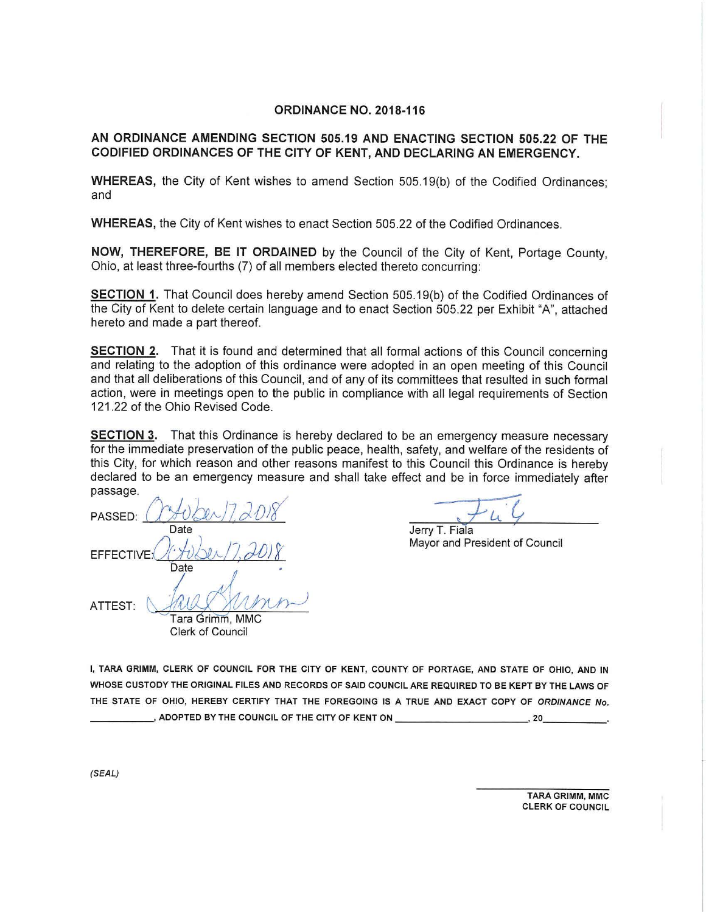#### **ORDINANCE NO. 2018-116**

# **AN ORDINANCE AMENDING SECTION 505.19 AND ENACTING SECTION 505.22 OF THE CODIFIED ORDINANCES OF THE CITY OF KENT, AND DECLARING AN EMERGENCY.**

**WHEREAS,** the City of Kent wishes to amend Section 505.19(b) of the Codified Ordinances; and

**WHEREAS,** the City of Kent wishes to enact Section 505.22 of the Codified Ordinances.

**NOW, THEREFORE, BE IT ORDAINED** by the Council of the City of Kent, Portage County, Ohio, at least three-fourths (7) of all members elected thereto concurring:

**SECTION 1.** That Council does hereby amend Section 505.19(b) of the Codified Ordinances of the City of Kent to delete certain language and to enact Section 505.22 per Exhibit "A", attached hereto and made a part thereof.

**SECTION 2.** That it is found and determined that all formal actions of this Council concerning and relating to the adoption of this ordinance were adopted in an open meeting of this Council and that all deliberations of this Council, and of any of its committees that resulted in such formal action, were in meetings open to the public in compliance with all legal requirements of Section 121 .22 of the Ohio Revised Code.

**SECTION 3.** That this Ordinance is hereby declared to be an emergency measure necessary for the immediate preservation of the public peace, health, safety, and welfare of the residents of this City, for which reason and other reasons manifest to this Council this Ordinance is hereby declared to be an emergency measure and shall take effect and be in force immediately after passage.

PASSED: *COHUber 17, 2018* Date Jerry T. Fiala EFFECTIVE:  $(\sqrt{\frac{1}{2}}) \geq 1$ . 2018 **Date ATTEST, (:, ~**   $\mathsf{T}\mathsf{ara} \mathrel{\mathsf{G}\mathsf{r}\mathsf{i}\mathsf{m}\mathsf{m}}$ . MMC Clerk of Council

I, **TARA GRIMM, CLERK OF COUNCIL FOR THE CITY OF KENT, COUNTY OF PORTAGE, AND STATE OF OHIO, AND IN WHOSE CUSTODY THE ORIGINAL FILES AND RECORDS OF SAID COUNCIL ARE REQUIRED TO BE KEPT BY THE LAWS OF**  THE **STATE OF OHIO, HEREBY CERTIFY THAT** THE **FOREGOING IS A TRUE AND EXACT COPY OF ORDINANCE No.**  ---~ **ADOPTED BY THE COUNCIL OF** THE **CITY OF KENT ON-------- ~ 20 \_\_\_ \_** 

(SEAL)

TARA GRIMM, MMC CLERK OF COUNCIL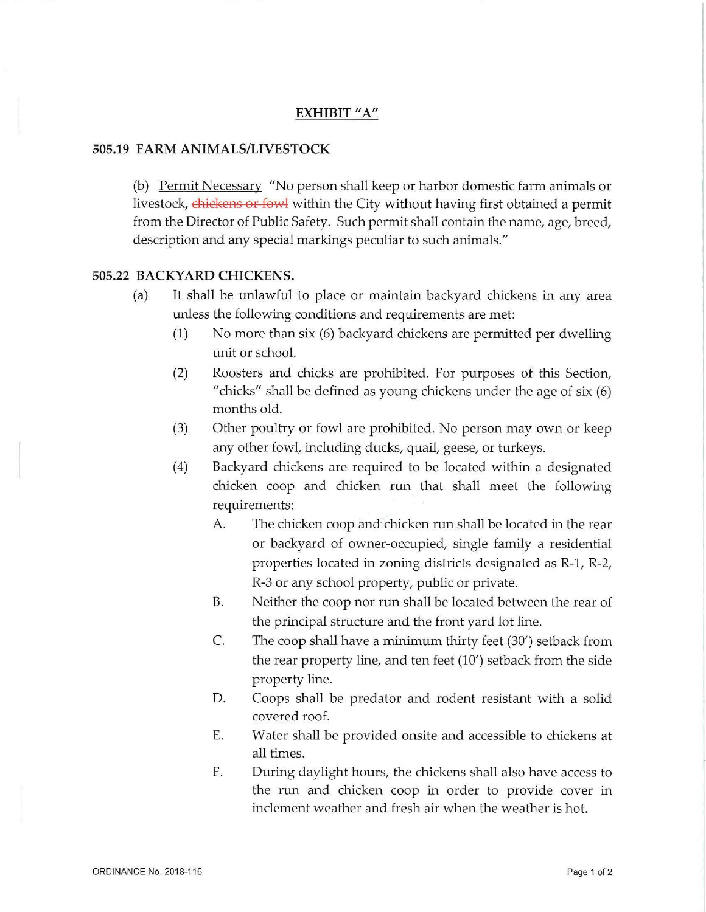## **EXHIBIT** "A"

# **505.19 FARM ANIMALS/LIVESTOCK**

(b) Permit Necessary "No person shall keep or harbor domestic farm animals or livestock, chickens or fowl within the City without having first obtained a permit from the Director of Public Safety. Such permit shall contain the name, age, breed, description and any special markings peculiar to such animals."

### **505.22 BACKYARD CHICKENS.**

- (a) It shall be unlawful to place or maintain backyard chickens in any area unless the following conditions and requirements are met:
	- (1) No more than six (6) backyard chickens are permitted per dwelling unit or school.
	- (2) Roosters and chicks are prohibited. For purposes of this Section, "chicks" shall be defined as young chickens under the age of six (6) months old.
	- (3) Other poultry or fowl are prohibited. No person may own or keep any other fowl, including ducks, quail, geese, or turkeys.
	- (4) Backyard chickens are required to be located within a designated chicken coop and chicken nm that shall meet the following requirements:
		- A. The chicken coop and chicken run shall be located in the rear or backyard of owner-occupied, single family a residential properties located in zoning districts designated as R-1, R-2, R-3 or any school property, public or private.
		- B. Neither the coop nor run shall be located between the rear of the principal structure and the front yard lot line.
		- C. The coop shall have a minimum thirty feet (30') setback from the rear property line, and ten feet (10') setback from the side property line.
		- D. Coops shall be predator and rodent resistant with a solid covered roof.
		- E. Water shall be provided onsite and accessible to chickens at all times.
		- F. During daylight hours, the chickens shall also have access to the nm and chicken coop in order to provide cover in inclement weather and fresh air when the weather is hot.